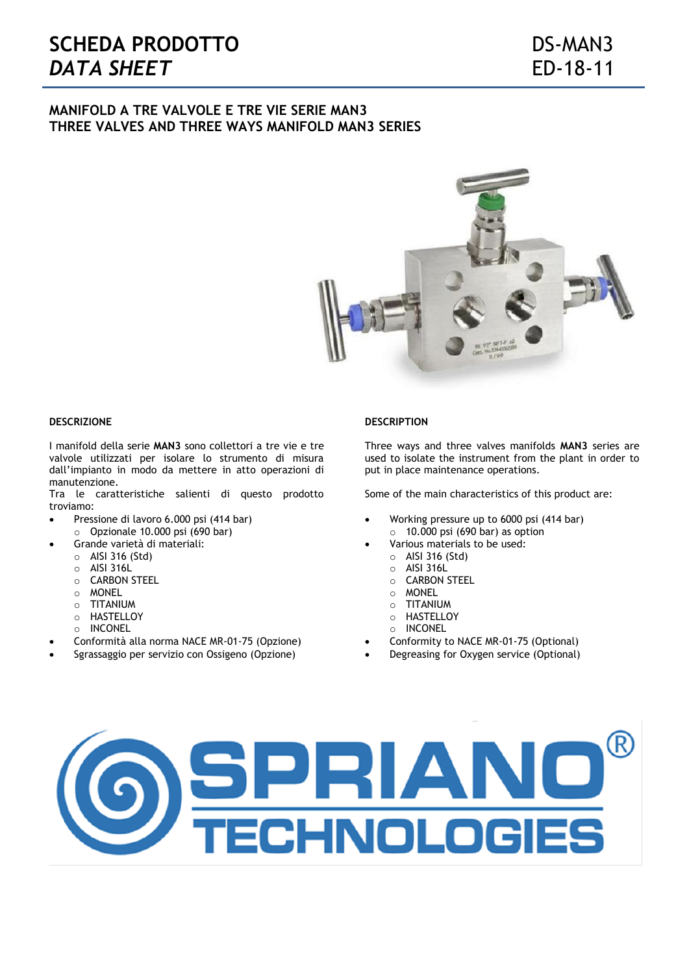# **MANIFOLD A TRE VALVOLE E TRE VIE SERIE MAN3 THREE VALVES AND THREE WAYS MANIFOLD MAN3 SERIES**



#### **DESCRIZIONE**

I manifold della serie **MAN3** sono collettori a tre vie e tre valvole utilizzati per isolare lo strumento di misura dall'impianto in modo da mettere in atto operazioni di manutenzione.

Tra le caratteristiche salienti di questo prodotto troviamo:

- Pressione di lavoro 6.000 psi (414 bar)
- o Opzionale 10.000 psi (690 bar)
	- Grande varietà di materiali:
	- o AISI 316 (Std)
	- o AISI 316L
	- o CARBON STEEL
	- o MONEL
	- o TITANIUM
	- o HASTELLOY
	- o INCONEL
- Conformità alla norma NACE MR-01-75 (Opzione)
- Sgrassaggio per servizio con Ossigeno (Opzione)

#### **DESCRIPTION**

Three ways and three valves manifolds **MAN3** series are used to isolate the instrument from the plant in order to put in place maintenance operations.

Some of the main characteristics of this product are:

- Working pressure up to 6000 psi (414 bar)  $\circ$  10.000 psi (690 bar) as option
- Various materials to be used:
	- o AISI 316 (Std)
	- o AISI 316L
	- o CARBON STEEL
	- o MONEL
	- o TITANIUM
	- o HASTELLOY
	- o INCONEL
- Conformity to NACE MR-01-75 (Optional)
- Degreasing for Oxygen service (Optional)

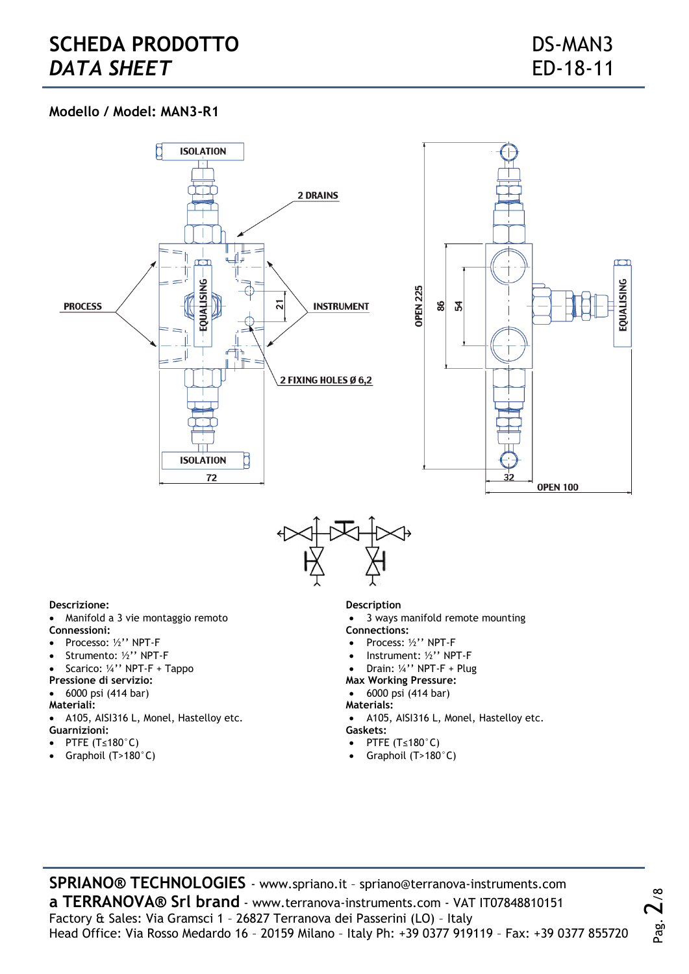# **Modello / Model: MAN3-R1**







## **Descrizione:**

- Manifold a 3 vie montaggio remoto **Connessioni:**
- Processo: ½" NPT-F
- Strumento: ½'' NPT-F
- Scarico: ¼'' NPT-F + Tappo
- **Pressione di servizio:**
- 6000 psi (414 bar)
- **Materiali:**
- A105, AISI316 L, Monel, Hastelloy etc. **Guarnizioni:**
- PTFE (T≤180°C)
- Graphoil (T>180°C)

### **Description**

- 3 ways manifold remote mounting **Connections:**
- Process: ½" NPT-F
- Instrument: ½'' NPT-F
- Drain: ¼'' NPT-F + Plug
- **Max Working Pressure:**
- 6000 psi (414 bar)
- **Materials:**
- A105, AISI316 L, Monel, Hastelloy etc. **Gaskets:**

Pag.

 $2^{\circ}$ 

- PTFE (T≤180°C)
- Graphoil (T>180°C)

**SPRIANO® TECHNOLOGIES** - www.spriano.it – spriano@terranova-instruments.com **a TERRANOVA® Srl brand** - www.terranova-instruments.com - VAT IT07848810151 Factory & Sales: Via Gramsci 1 – 26827 Terranova dei Passerini (LO) – Italy Head Office: Via Rosso Medardo 16 – 20159 Milano – Italy Ph: +39 0377 919119 – Fax: +39 0377 855720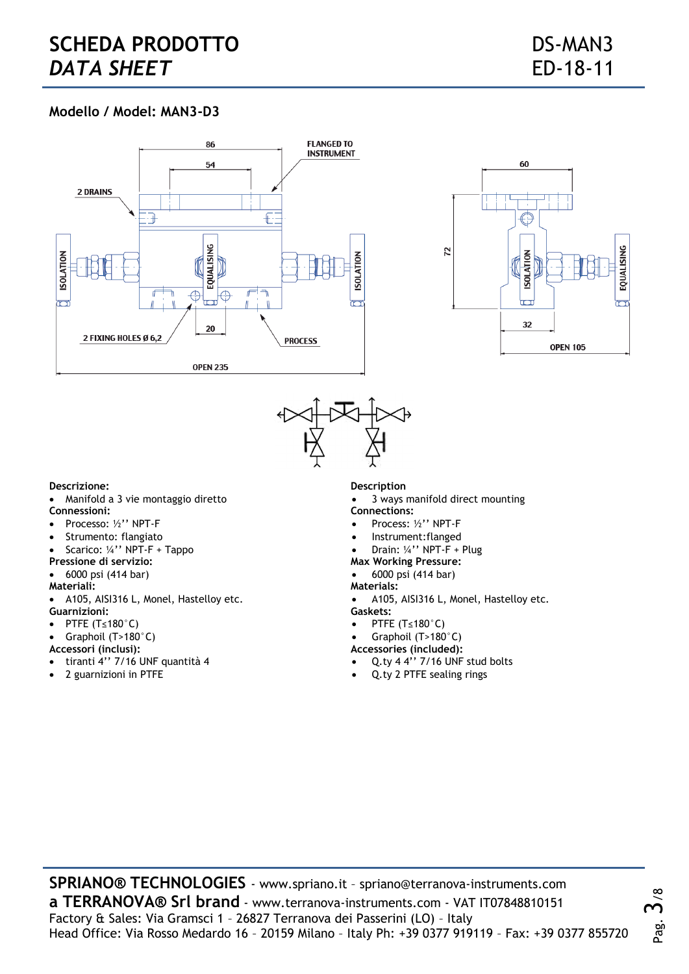# **SCHEDA PRODOTTO** DS-MAN3 **DATA SHEET** ED-18-11

# **Modello / Model: MAN3-D3**







## **Descrizione:**

- Manifold a 3 vie montaggio diretto **Connessioni:**
- Processo: ½'' NPT-F
- Strumento: flangiato
- Scarico: ¼'' NPT-F + Tappo
- **Pressione di servizio:**
- 6000 psi (414 bar)
- **Materiali:**
- A105, AISI316 L, Monel, Hastelloy etc. **Guarnizioni:**
- PTFE (T≤180°C)
- Graphoil (T>180°C)
- **Accessori (inclusi):**
- tiranti 4'' 7/16 UNF quantità 4
- 2 guarnizioni in PTFE

## **Description**

- 3 ways manifold direct mounting **Connections:**
- Process: ½'' NPT-F
- Instrument:flanged
- Drain: ¼'' NPT-F + Plug
- **Max Working Pressure:**
- 6000 psi (414 bar)
- **Materials:**
- A105, AISI316 L, Monel, Hastelloy etc. **Gaskets:**
- PTFE (T≤180°C)
- Graphoil (T>180°C)

**Accessories (included):**

- Q.ty 4 4'' 7/16 UNF stud bolts
- Q.ty 2 PTFE sealing rings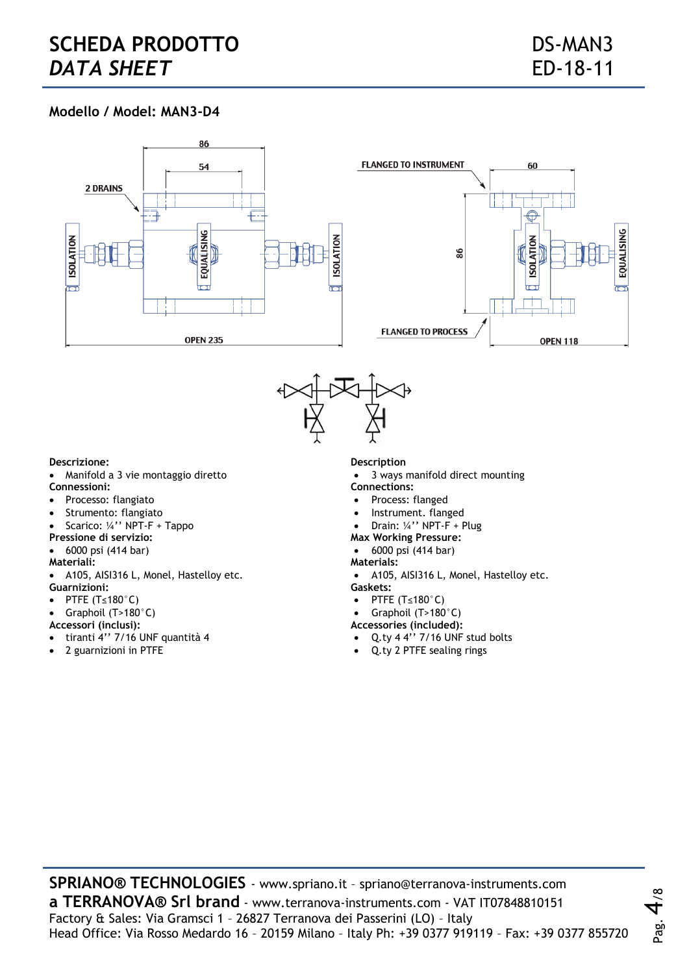Pag.

# **Modello / Model: MAN3-D4**





#### **Descrizione:**

Manifold a 3 vie montaggio diretto

## **Connessioni:**

- Processo: flangiato
- Strumento: flangiato
- Scarico: ¼'' NPT-F + Tappo
- **Pressione di servizio:**
- 6000 psi (414 bar)
- **Materiali:**
- A105, AISI316 L, Monel, Hastelloy etc. **Guarnizioni:**
- PTFE (T≤180°C)
- Graphoil (T>180°C)
- **Accessori (inclusi):**
- tiranti 4'' 7/16 UNF quantità 4
- 2 guarnizioni in PTFE

#### **Description**

- 3 ways manifold direct mounting **Connections:**
- Process: flanged
- Instrument. flanged
- Drain: ¼'' NPT-F + Plug
- **Max Working Pressure:**
- 6000 psi (414 bar)
- **Materials:**
- A105, AISI316 L, Monel, Hastelloy etc. **Gaskets:**
- PTFE (T≤180°C)
- Graphoil (T>180°C)
- **Accessories (included):**
- Q.ty 4 4'' 7/16 UNF stud bolts
- Q.ty 2 PTFE sealing rings

**SPRIANO® TECHNOLOGIES** - www.spriano.it – spriano@terranova-instruments.com **a TERRANOVA® Srl brand** - www.terranova-instruments.com - VAT IT07848810151 Factory & Sales: Via Gramsci 1 – 26827 Terranova dei Passerini (LO) – Italy Head Office: Via Rosso Medardo 16 – 20159 Milano – Italy Ph: +39 0377 919119 – Fax: +39 0377 855720  $\frac{8}{\pi}$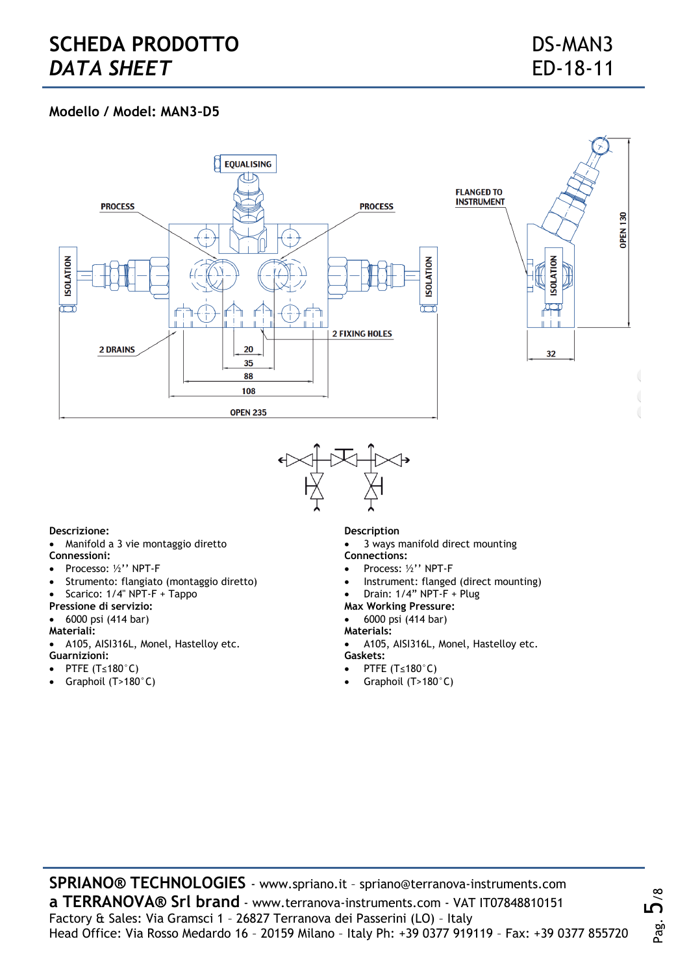# **Modello / Model: MAN3–D5**





## **Descrizione:**

- Manifold a 3 vie montaggio diretto **Connessioni:**
- Processo: ½'' NPT-F
- Strumento: flangiato (montaggio diretto)
- Scarico: 1/4" NPT-F + Tappo
- **Pressione di servizio:**
- 6000 psi (414 bar)
- **Materiali:**
- A105, AISI316L, Monel, Hastelloy etc. **Guarnizioni:**
- PTFE (T≤180°C)
- Graphoil (T>180°C)

### **Description**

- 3 ways manifold direct mounting
- **Connections:** Process: ½'' NPT-F
- Instrument: flanged (direct mounting)
- Drain: 1/4" NPT-F + Plug
- **Max Working Pressure:**
- 6000 psi (414 bar)
- **Materials:**
- A105, AISI316L, Monel, Hastelloy etc. **Gaskets:**
- PTFE (T≤180°C)
- Graphoil (T>180°C)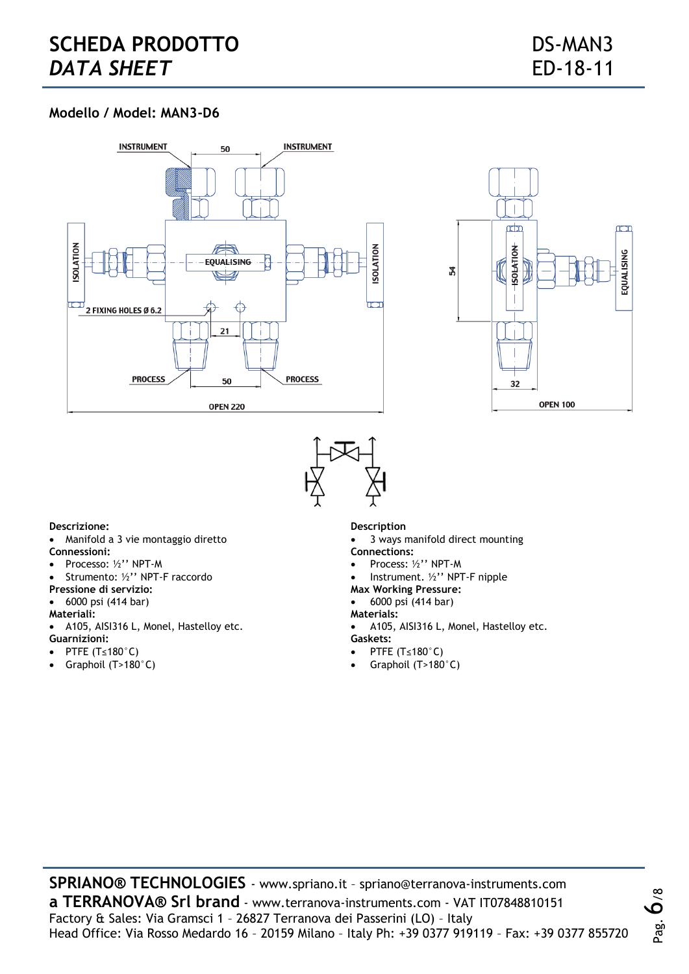# **Modello / Model: MAN3-D6**







#### **Descrizione:**

- Manifold a 3 vie montaggio diretto **Connessioni:**
- Processo: ½'' NPT-M
- Strumento: ½'' NPT-F raccordo
- **Pressione di servizio:**
- 6000 psi (414 bar)
- **Materiali:**
- A105, AISI316 L, Monel, Hastelloy etc.
- **Guarnizioni:**
- PTFE (T≤180°C)
- Graphoil  $(T>180^\circ C)$

### **Description**

- 3 ways manifold direct mounting
- **Connections:**
- Process: ½'' NPT-M
- Instrument. ½'' NPT-F nipple
- **Max Working Pressure:**
- 6000 psi (414 bar)
- **Materials:**
- A105, AISI316 L, Monel, Hastelloy etc.
- **Gaskets:**
- PTFE (T≤180°C)
- Graphoil (T>180°C)

**SPRIANO® TECHNOLOGIES** - www.spriano.it – spriano@terranova-instruments.com **a TERRANOVA® Srl brand** - www.terranova-instruments.com - VAT IT07848810151 Factory & Sales: Via Gramsci 1 – 26827 Terranova dei Passerini (LO) – Italy Head Office: Via Rosso Medardo 16 – 20159 Milano – Italy Ph: +39 0377 919119 – Fax: +39 0377 855720 Pag.  $\mathring{\mathbf{o}}$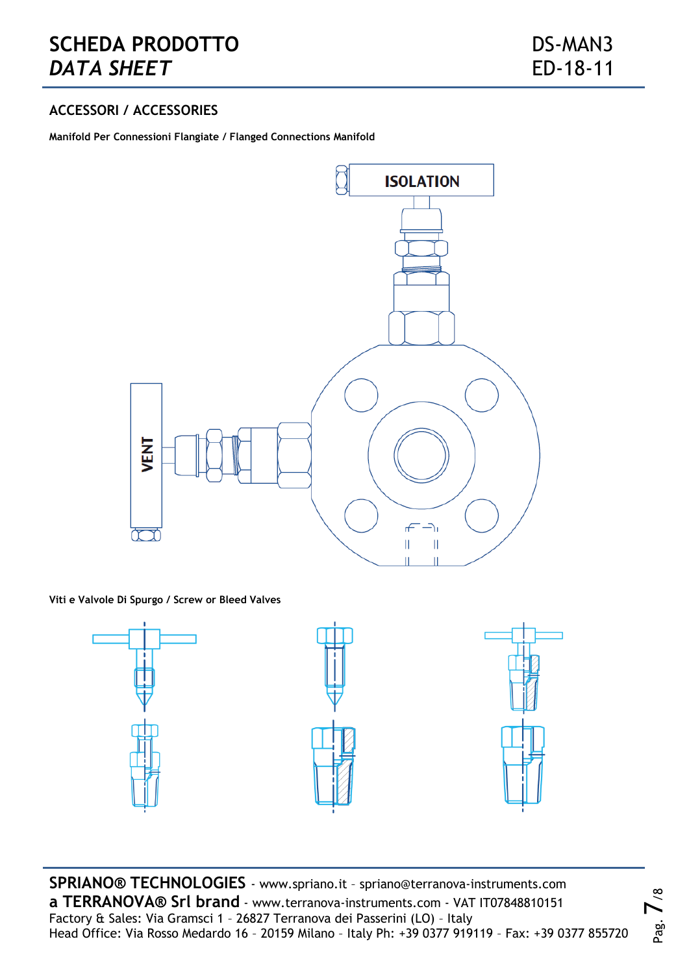# **SCHEDA PRODOTTO** DS-MAN3 **DATA SHEET** ED-18-11

Pag.

 $\mathcal{L}_{\infty}$ 

# **ACCESSORI / ACCESSORIES**

**Manifold Per Connessioni Flangiate / Flanged Connections Manifold**



**Viti e Valvole Di Spurgo / Screw or Bleed Valves**



**SPRIANO® TECHNOLOGIES** - www.spriano.it – spriano@terranova-instruments.com **a TERRANOVA® Srl brand** - www.terranova-instruments.com - VAT IT07848810151 Factory & Sales: Via Gramsci 1 – 26827 Terranova dei Passerini (LO) – Italy Head Office: Via Rosso Medardo 16 – 20159 Milano – Italy Ph: +39 0377 919119 – Fax: +39 0377 855720